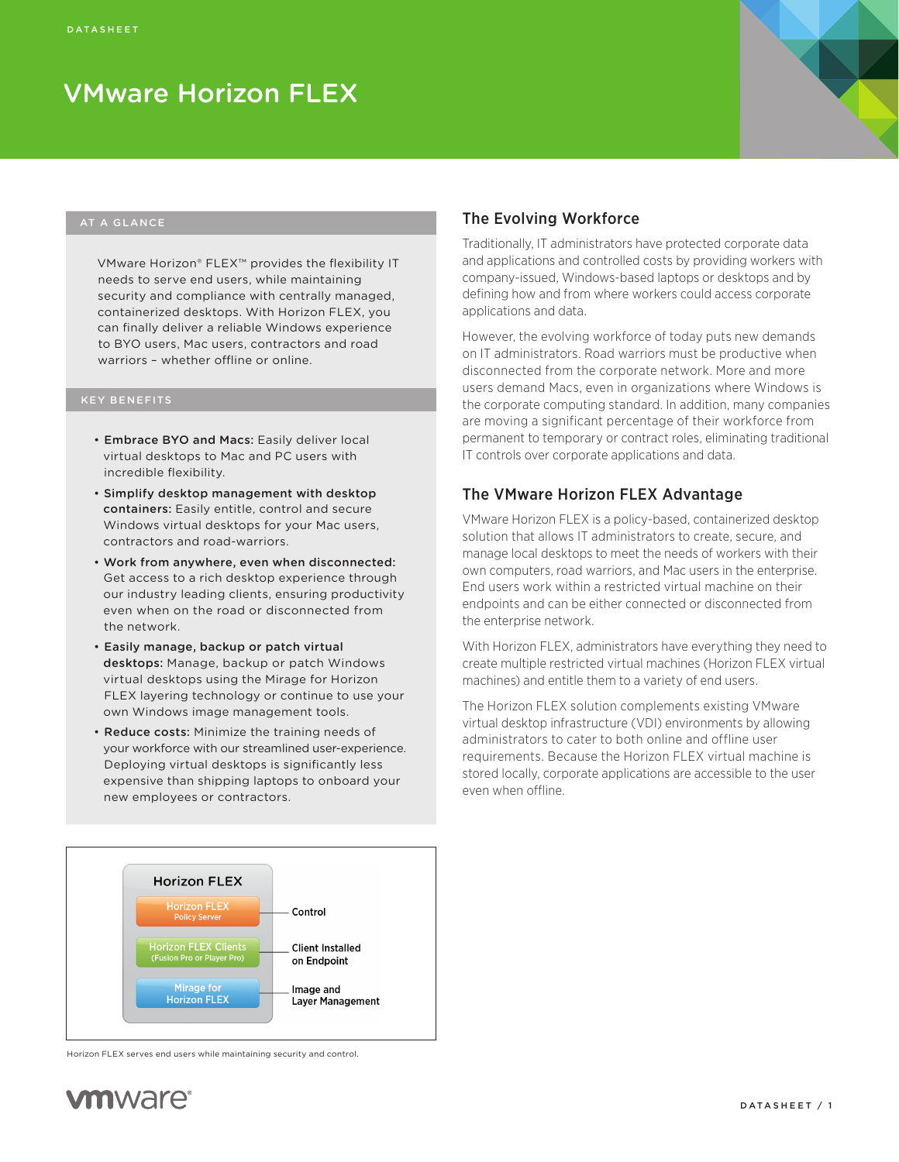

#### AT A GLANCE

VMware Horizon® FLEX™ provides the flexibility IT needs to serve end users, while maintaining security and compliance with centrally managed, containerized desktops. With Horizon FLEX, you can finally deliver a reliable Windows experience to BYO users, Mac users, contractors and road warriors - whether offline or online.

#### KEY BENEFITS

- Embrace BYO and Macs: Easily deliver local virtual desktops to Mac and PC users with incredible flexibility.
- Simplify desktop management with desktop containers: Easily entitle, control and secure Windows virtual desktops for your Mac users, contractors and road-warriors.
- Work from anywhere, even when disconnected: Get access to a rich desktop experience through our industry leading clients, ensuring productivity even when on the road or disconnected from the network.
- Easily manage, backup or patch virtual desktops: Manage, backup or patch Windows virtual desktops using the Mirage for Horizon FLEX layering technology or continue to use your own Windows image management tools.
- Reduce costs: Minimize the training needs of your workforce with our streamlined user-experience. Deploying virtual desktops is significantly less expensive than shipping laptops to onboard your new employees or contractors.



## The Evolving Workforce

Traditionally, IT administrators have protected corporate data and applications and controlled costs by providing workers with company-issued, Windows-based laptops or desktops and by defining how and from where workers could access corporate applications and data.

However, the evolving workforce of today puts new demands on IT administrators. Road warriors must be productive when disconnected from the corporate network. More and more users demand Macs, even in organizations where Windows is the corporate computing standard. In addition, many companies are moving a significant percentage of their workforce from permanent to temporary or contract roles, eliminating traditional IT controls over corporate applications and data.

## The VMware Horizon FLEX Advantage

VMware Horizon FLEX is a policy-based, containerized desktop solution that allows IT administrators to create, secure, and manage local desktops to meet the needs of workers with their own computers, road warriors, and Mac users in the enterprise. End users work within a restricted virtual machine on their endpoints and can be either connected or disconnected from the enterprise network.

With Horizon FLEX, administrators have everything they need to create multiple restricted virtual machines (Horizon FLEX virtual machines) and entitle them to a variety of end users.

The Horizon FLEX solution complements existing VMware virtual desktop infrastructure (VDI) environments by allowing administrators to cater to both online and offline user requirements. Because the Horizon FLEX virtual machine is stored locally, corporate applications are accessible to the user even when offline.

Horizon FLEX serves end users while maintaining security and control.

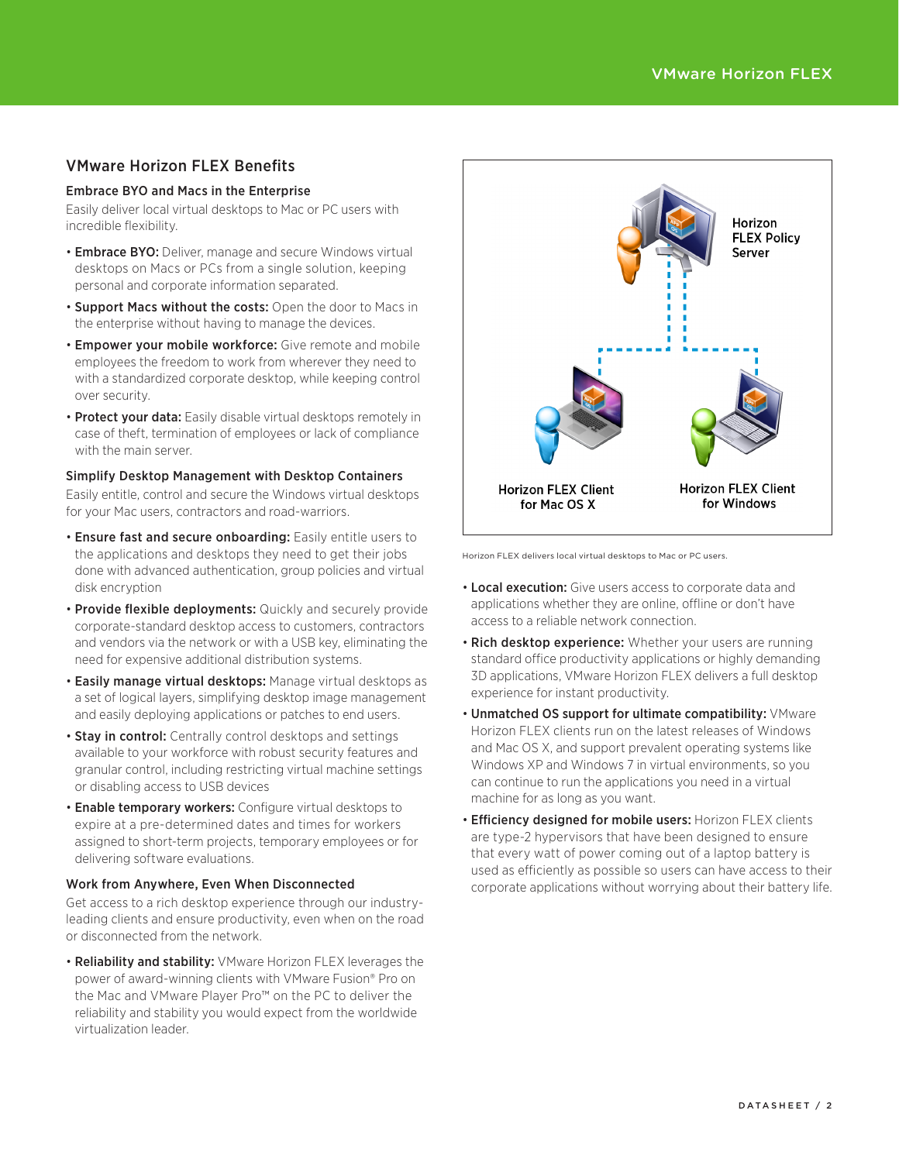# VMware Horizon FLEX Benefits

#### Embrace BYO and Macs in the Enterprise

Easily deliver local virtual desktops to Mac or PC users with incredible flexibility.

- **Embrace BYO:** Deliver, manage and secure Windows virtual desktops on Macs or PCs from a single solution, keeping personal and corporate information separated.
- Support Macs without the costs: Open the door to Macs in the enterprise without having to manage the devices.
- Empower your mobile workforce: Give remote and mobile employees the freedom to work from wherever they need to with a standardized corporate desktop, while keeping control over security.
- Protect your data: Easily disable virtual desktops remotely in case of theft, termination of employees or lack of compliance with the main server.

#### Simplify Desktop Management with Desktop Containers

Easily entitle, control and secure the Windows virtual desktops for your Mac users, contractors and road-warriors.

- Ensure fast and secure onboarding: Easily entitle users to the applications and desktops they need to get their jobs done with advanced authentication, group policies and virtual disk encryption
- Provide flexible deployments: Quickly and securely provide corporate-standard desktop access to customers, contractors and vendors via the network or with a USB key, eliminating the need for expensive additional distribution systems.
- Easily manage virtual desktops: Manage virtual desktops as a set of logical layers, simplifying desktop image management and easily deploying applications or patches to end users.
- Stay in control: Centrally control desktops and settings available to your workforce with robust security features and granular control, including restricting virtual machine settings or disabling access to USB devices
- Enable temporary workers: Configure virtual desktops to expire at a pre-determined dates and times for workers assigned to short-term projects, temporary employees or for delivering software evaluations.

#### Work from Anywhere, Even When Disconnected

Get access to a rich desktop experience through our industryleading clients and ensure productivity, even when on the road or disconnected from the network.

• Reliability and stability: VMware Horizon FLEX leverages the power of award-winning clients with VMware Fusion® Pro on the Mac and VMware Player Pro™ on the PC to deliver the reliability and stability you would expect from the worldwide virtualization leader.



Horizon FLEX delivers local virtual desktops to Mac or PC users.

- **Local execution:** Give users access to corporate data and applications whether they are online, offline or don't have access to a reliable network connection.
- Rich desktop experience: Whether your users are running standard office productivity applications or highly demanding 3D applications, VMware Horizon FLEX delivers a full desktop experience for instant productivity.
- Unmatched OS support for ultimate compatibility: VMware Horizon FLEX clients run on the latest releases of Windows and Mac OS X, and support prevalent operating systems like Windows XP and Windows 7 in virtual environments, so you can continue to run the applications you need in a virtual machine for as long as you want.
- Efficiency designed for mobile users: Horizon FLEX clients are type-2 hypervisors that have been designed to ensure that every watt of power coming out of a laptop battery is used as efficiently as possible so users can have access to their corporate applications without worrying about their battery life.